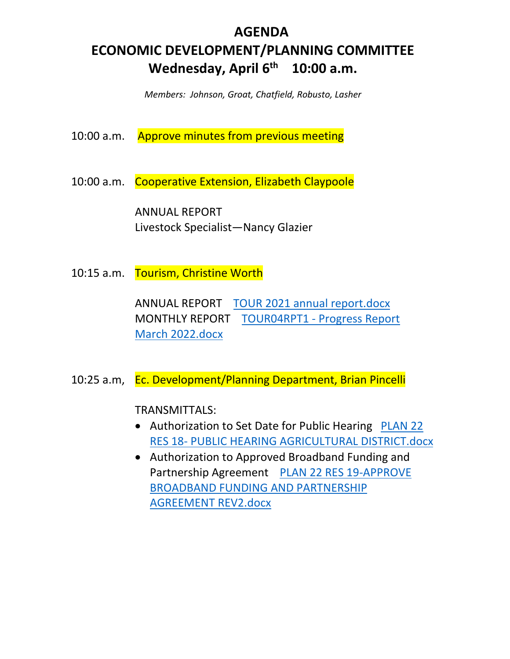# **AGENDA ECONOMIC DEVELOPMENT/PLANNING COMMITTEE Wednesday, April 6th 10:00 a.m.**

*Members: Johnson, Groat, Chatfield, Robusto, Lasher* 

10:00 a.m. Approve minutes from previous meeting

10:00 a.m. Cooperative Extension, Elizabeth Claypoole

 ANNUAL REPORT Livestock Specialist—Nancy Glazier

10:15 a.m. Tourism, Christine Worth

 ANNUAL REPORT TOUR 2021 annual report.docx MONTHLY REPORT TOUR04RPT1 - Progress Report March 2022.docx

10:25 a.m, Ec. Development/Planning Department, Brian Pincelli

TRANSMITTALS:

- Authorization to Set Date for Public Hearing PLAN 22 RES 18- PUBLIC HEARING AGRICULTURAL DISTRICT.docx
- Authorization to Approved Broadband Funding and Partnership Agreement PLAN 22 RES 19-APPROVE BROADBAND FUNDING AND PARTNERSHIP AGREEMENT REV2.docx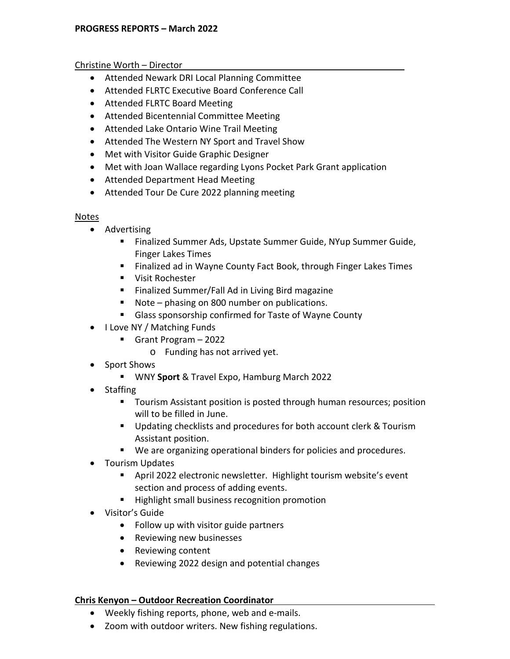## Christine Worth – Director

- Attended Newark DRI Local Planning Committee
- Attended FLRTC Executive Board Conference Call
- Attended FLRTC Board Meeting
- Attended Bicentennial Committee Meeting
- Attended Lake Ontario Wine Trail Meeting
- Attended The Western NY Sport and Travel Show
- Met with Visitor Guide Graphic Designer
- Met with Joan Wallace regarding Lyons Pocket Park Grant application
- Attended Department Head Meeting
- Attended Tour De Cure 2022 planning meeting

## Notes

- Advertising
	- Finalized Summer Ads, Upstate Summer Guide, NYup Summer Guide, Finger Lakes Times
	- **Finalized ad in Wayne County Fact Book, through Finger Lakes Times**
	- **UI** Visit Rochester
	- Finalized Summer/Fall Ad in Living Bird magazine
	- Note phasing on 800 number on publications.
	- **Glass sponsorship confirmed for Taste of Wayne County**
- I Love NY / Matching Funds
	- Grant Program 2022
		- o Funding has not arrived yet.
- Sport Shows
	- WNY **Sport** & Travel Expo, Hamburg March 2022
- Staffing
	- **Te Tourism Assistant position is posted through human resources; position** will to be filled in June.
	- **Updating checklists and procedures for both account clerk & Tourism** Assistant position.
	- We are organizing operational binders for policies and procedures.
- Tourism Updates
	- April 2022 electronic newsletter. Highlight tourism website's event section and process of adding events.
	- **Highlight small business recognition promotion**
- Visitor's Guide
	- Follow up with visitor guide partners
	- Reviewing new businesses
	- Reviewing content
	- Reviewing 2022 design and potential changes

## **Chris Kenyon – Outdoor Recreation Coordinator**

- Weekly fishing reports, phone, web and e-mails.
- Zoom with outdoor writers. New fishing regulations.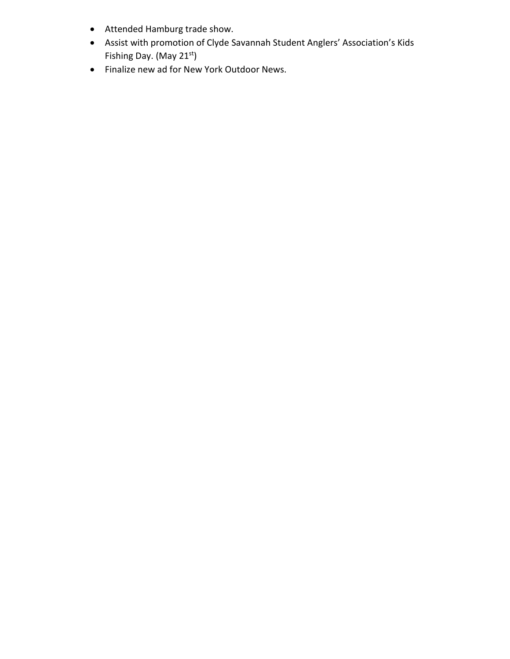- Attended Hamburg trade show.
- Assist with promotion of Clyde Savannah Student Anglers' Association's Kids Fishing Day. (May 21<sup>st</sup>)
- Finalize new ad for New York Outdoor News.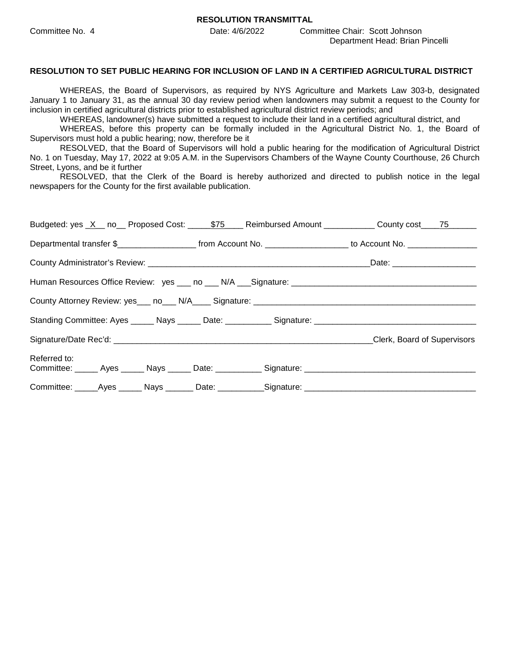**RESOLUTION TRANSMITTAL** 

Committee No. 4 Date: 4/6/2022 Committee Chair: Scott Johnson Department Head: Brian Pincelli

#### **RESOLUTION TO SET PUBLIC HEARING FOR INCLUSION OF LAND IN A CERTIFIED AGRICULTURAL DISTRICT**

WHEREAS, the Board of Supervisors, as required by NYS Agriculture and Markets Law 303-b, designated January 1 to January 31, as the annual 30 day review period when landowners may submit a request to the County for inclusion in certified agricultural districts prior to established agricultural district review periods; and

WHEREAS, landowner(s) have submitted a request to include their land in a certified agricultural district, and

WHEREAS, before this property can be formally included in the Agricultural District No. 1, the Board of Supervisors must hold a public hearing; now, therefore be it

RESOLVED, that the Board of Supervisors will hold a public hearing for the modification of Agricultural District No. 1 on Tuesday, May 17, 2022 at 9:05 A.M. in the Supervisors Chambers of the Wayne County Courthouse, 26 Church Street, Lyons, and be it further

RESOLVED, that the Clerk of the Board is hereby authorized and directed to publish notice in the legal newspapers for the County for the first available publication.

|              |  |                                                                                                      | Budgeted: yes <u>X</u> no Proposed Cost: 575 Reimbursed Amount County County cost 75                                                     |
|--------------|--|------------------------------------------------------------------------------------------------------|------------------------------------------------------------------------------------------------------------------------------------------|
|              |  |                                                                                                      | Departmental transfer \$_________________________________from Account No. ___________________________ to Account No. ___________________ |
|              |  |                                                                                                      |                                                                                                                                          |
|              |  |                                                                                                      |                                                                                                                                          |
|              |  |                                                                                                      |                                                                                                                                          |
|              |  |                                                                                                      |                                                                                                                                          |
|              |  |                                                                                                      | Clerk, Board of Supervisors                                                                                                              |
| Referred to: |  |                                                                                                      |                                                                                                                                          |
|              |  | Committee: ______Ayes ______ Nays _______ Date: ___________Signature: ______________________________ |                                                                                                                                          |